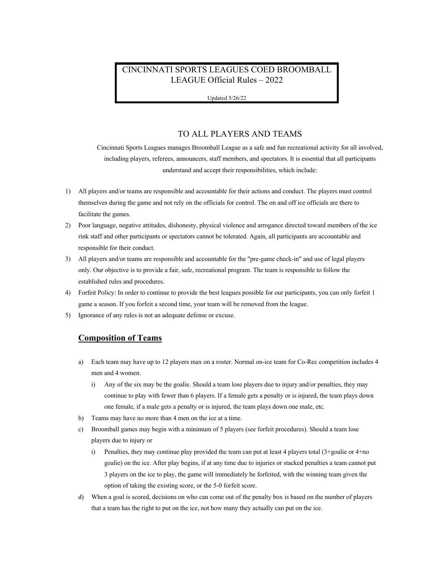# CINCINNATI SPORTS LEAGUES COED BROOMBALL LEAGUE Official Rules – 2022

Updated 5/26/22

# TO ALL PLAYERS AND TEAMS

Cincinnati Sports Leagues manages Broomball League as a safe and fun recreational activity for all involved, including players, referees, announcers, staff members, and spectators. It is essential that all participants understand and accept their responsibilities, which include:

- 1) All players and/or teams are responsible and accountable for their actions and conduct. The players must control themselves during the game and not rely on the officials for control. The on and off ice officials are there to facilitate the games.
- 2) Poor language, negative attitudes, dishonesty, physical violence and arrogance directed toward members of the ice rink staff and other participants or spectators cannot be tolerated. Again, all participants are accountable and responsible for their conduct.
- 3) All players and/or teams are responsible and accountable for the "pre-game check-in" and use of legal players only. Our objective is to provide a fair, safe, recreational program. The team is responsible to follow the established rules and procedures.
- 4) Forfeit Policy: In order to continue to provide the best leagues possible for our participants, you can only forfeit 1 game a season. If you forfeit a second time, your team will be removed from the league.
- 5) Ignorance of any rules is not an adequate defense or excuse.

#### **Composition of Teams**

- a) Each team may have up to 12 players max on a roster. Normal on-ice team for Co-Rec competition includes 4 men and 4 women.
	- i) Any of the six may be the goalie. Should a team lose players due to injury and/or penalties, they may continue to play with fewer than 6 players. If a female gets a penalty or is injured, the team plays down one female, if a male gets a penalty or is injured, the team plays down one male, etc.
- b) Teams may have no more than 4 men on the ice at a time.
- c) Broomball games may begin with a minimum of 5 players (see forfeit procedures). Should a team lose players due to injury or
	- i) Penalties, they may continue play provided the team can put at least 4 players total  $(3 + \text{goalie or } 4 + \text{no})$ goalie) on the ice. After play begins, if at any time due to injuries or stacked penalties a team cannot put 3 players on the ice to play, the game will immediately be forfeited, with the winning team given the option of taking the existing score, or the 5-0 forfeit score.
- d) When a goal is scored, decisions on who can come out of the penalty box is based on the number of players that a team has the right to put on the ice, not how many they actually can put on the ice.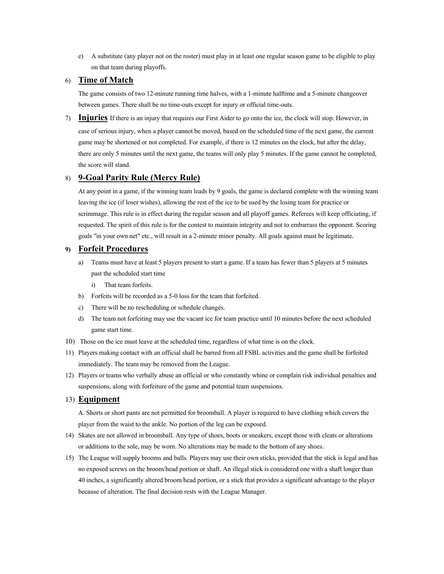e) A substitute (any player not on the roster) must play in at least one regular season game to be eligible to play on that team during playoffs.

### 6) **Time of Match**

The game consists of two 12-minute running time halves, with a 1-minute halftime and a 5-minute changeover between games. There shall be no time-outs except for injury or official time-outs.

7) **Injuries** If there is an injury that requires our First Aider to go onto the ice, the clock will stop. However, in case of serious injury, when a player cannot be moved, based on the scheduled time of the next game, the current game may be shortened or not completed. For example, if there is 12 minutes on the clock, but after the delay, there are only 5 minutes until the next game, the teams will only play 5 minutes. If the game cannot be completed, the score will stand.

### 8) **9-Goal Parity Rule (Mercy Rule)**

At any point in a game, if the winning team leads by 9 goals, the game is declared complete with the winning team leaving the ice (if loser wishes), allowing the rest of the ice to be used by the losing team for practice or scrimmage. This rule is in effect during the regular season and all playoff games. Referees will keep officiating, if requested. The spirit of this rule is for the contest to maintain integrity and not to embarrass the opponent. Scoring goals "in your own net" etc., will result in a 2-minute minor penalty. All goals against must be legitimate.

### **9) Forfeit Procedures**

- a) Teams must have at least 5 players present to start a game. If a team has fewer than 5 players at 5 minutes past the scheduled start time
	- i) That team forfeits.
- b) Forfeits will be recorded as a 5-0 loss for the team that forfeited.
- c) There will be no rescheduling or schedule changes.
- d) The team not forfeiting may use the vacant ice for team practice until 10 minutes before the next scheduled game start time.
- 10) Those on the ice must leave at the scheduled time, regardless of what time is on the clock.
- 11) Players making contact with an official shall be barred from all FSBL activities and the game shall be forfeited immediately. The team may be removed from the League.
- 12) Players or teams who verbally abuse an official or who constantly whine or complain risk individual penalties and suspensions, along with forfeiture of the game and potential team suspensions.

#### 13) **Equipment**

A. Shorts or short pants are not permitted for broomball. A player is required to have clothing which covers the player from the waist to the ankle. No portion of the leg can be exposed.

- 14) Skates are not allowed in broomball. Any type of shoes, boots or sneakers, except those with cleats or alterations or additions to the sole, may be worn. No alterations may be made to the bottom of any shoes.
- 15) The League will supply brooms and balls. Players may use their own sticks, provided that the stick is legal and has no exposed screws on the broom/head portion or shaft. An illegal stick is considered one with a shaft longer than 40 inches, a significantly altered broom/head portion, or a stick that provides a significant advantage to the player because of alteration. The final decision rests with the League Manager.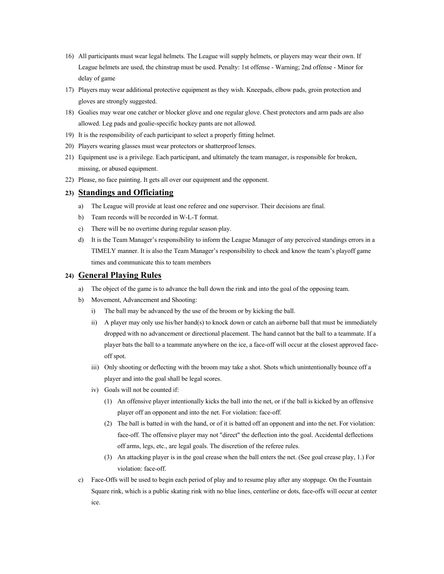- 16) All participants must wear legal helmets. The League will supply helmets, or players may wear their own. If League helmets are used, the chinstrap must be used. Penalty: 1st offense - Warning; 2nd offense - Minor for delay of game
- 17) Players may wear additional protective equipment as they wish. Kneepads, elbow pads, groin protection and gloves are strongly suggested.
- 18) Goalies may wear one catcher or blocker glove and one regular glove. Chest protectors and arm pads are also allowed. Leg pads and goalie-specific hockey pants are not allowed.
- 19) It is the responsibility of each participant to select a properly fitting helmet.
- 20) Players wearing glasses must wear protectors or shatterproof lenses.
- 21) Equipment use is a privilege. Each participant, and ultimately the team manager, is responsible for broken, missing, or abused equipment.
- 22) Please, no face painting. It gets all over our equipment and the opponent.

#### **23) Standings and Officiating**

- a) The League will provide at least one referee and one supervisor. Their decisions are final.
- b) Team records will be recorded in W-L-T format.
- c) There will be no overtime during regular season play.
- d) It is the Team Manager's responsibility to inform the League Manager of any perceived standings errors in a TIMELY manner. It is also the Team Manager's responsibility to check and know the team's playoff game times and communicate this to team members

### **24) General Playing Rules**

- a) The object of the game is to advance the ball down the rink and into the goal of the opposing team.
- b) Movement, Advancement and Shooting:
	- i) The ball may be advanced by the use of the broom or by kicking the ball.
	- ii) A player may only use his/her hand(s) to knock down or catch an airborne ball that must be immediately dropped with no advancement or directional placement. The hand cannot bat the ball to a teammate. If a player bats the ball to a teammate anywhere on the ice, a face-off will occur at the closest approved faceoff spot.
	- iii) Only shooting or deflecting with the broom may take a shot. Shots which unintentionally bounce off a player and into the goal shall be legal scores.
	- iv) Goals will not be counted if:
		- (1) An offensive player intentionally kicks the ball into the net, or if the ball is kicked by an offensive player off an opponent and into the net. For violation: face-off.
		- (2) The ball is batted in with the hand, or of it is batted off an opponent and into the net. For violation: face-off. The offensive player may not "direct" the deflection into the goal. Accidental deflections off arms, legs, etc., are legal goals. The discretion of the referee rules.
		- (3) An attacking player is in the goal crease when the ball enters the net. (See goal crease play, 1.) For violation: face-off.
- c) Face-Offs will be used to begin each period of play and to resume play after any stoppage. On the Fountain Square rink, which is a public skating rink with no blue lines, centerline or dots, face-offs will occur at center ice.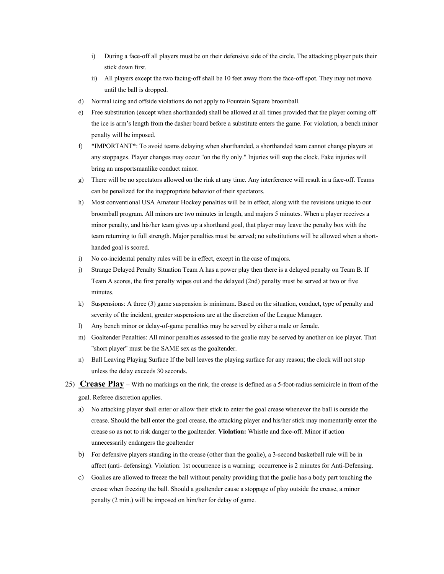- i) During a face-off all players must be on their defensive side of the circle. The attacking player puts their stick down first.
- ii) All players except the two facing-off shall be 10 feet away from the face-off spot. They may not move until the ball is dropped.
- d) Normal icing and offside violations do not apply to Fountain Square broomball.
- e) Free substitution (except when shorthanded) shall be allowed at all times provided that the player coming off the ice is arm's length from the dasher board before a substitute enters the game. For violation, a bench minor penalty will be imposed.
- f) \*IMPORTANT\*: To avoid teams delaying when shorthanded, a shorthanded team cannot change players at any stoppages. Player changes may occur "on the fly only." Injuries will stop the clock. Fake injuries will bring an unsportsmanlike conduct minor.
- g) There will be no spectators allowed on the rink at any time. Any interference will result in a face-off. Teams can be penalized for the inappropriate behavior of their spectators.
- h) Most conventional USA Amateur Hockey penalties will be in effect, along with the revisions unique to our broomball program. All minors are two minutes in length, and majors 5 minutes. When a player receives a minor penalty, and his/her team gives up a shorthand goal, that player may leave the penalty box with the team returning to full strength. Major penalties must be served; no substitutions will be allowed when a shorthanded goal is scored.
- i) No co-incidental penalty rules will be in effect, except in the case of majors.
- j) Strange Delayed Penalty Situation Team A has a power play then there is a delayed penalty on Team B. If Team A scores, the first penalty wipes out and the delayed (2nd) penalty must be served at two or five minutes.
- k) Suspensions: A three (3) game suspension is minimum. Based on the situation, conduct, type of penalty and severity of the incident, greater suspensions are at the discretion of the League Manager.
- l) Any bench minor or delay-of-game penalties may be served by either a male or female.
- m) Goaltender Penalties: All minor penalties assessed to the goalie may be served by another on ice player. That "short player" must be the SAME sex as the goaltender.
- n) Ball Leaving Playing Surface If the ball leaves the playing surface for any reason; the clock will not stop unless the delay exceeds 30 seconds.
- 25) **Crease Play** With no markings on the rink, the crease is defined as a 5-foot-radius semicircle in front of the goal. Referee discretion applies.
	- a) No attacking player shall enter or allow their stick to enter the goal crease whenever the ball is outside the crease. Should the ball enter the goal crease, the attacking player and his/her stick may momentarily enter the crease so as not to risk danger to the goaltender. **Violation:** Whistle and face-off. Minor if action unnecessarily endangers the goaltender
	- b) For defensive players standing in the crease (other than the goalie), a 3-second basketball rule will be in affect (anti- defensing). Violation: 1st occurrence is a warning; occurrence is 2 minutes for Anti-Defensing.
	- c) Goalies are allowed to freeze the ball without penalty providing that the goalie has a body part touching the crease when freezing the ball. Should a goaltender cause a stoppage of play outside the crease, a minor penalty (2 min.) will be imposed on him/her for delay of game.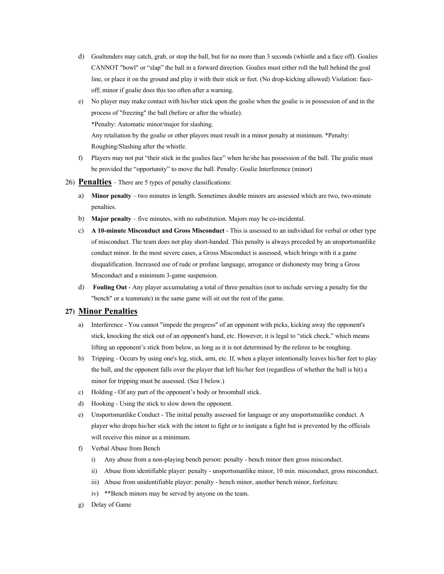- d) Goaltenders may catch, grab, or stop the ball, but for no more than 3 seconds (whistle and a face off). Goalies CANNOT "bowl" or "slap" the ball in a forward direction. Goalies must either roll the ball behind the goal line, or place it on the ground and play it with their stick or feet. (No drop-kicking allowed) Violation: faceoff; minor if goalie does this too often after a warning.
- e) No player may make contact with his/her stick upon the goalie when the goalie is in possession of and in the process of "freezing" the ball (before or after the whistle). \*Penalty: Automatic minor/major for slashing. Any retaliation by the goalie or other players must result in a minor penalty at minimum. \*Penalty: Roughing/Slashing after the whistle.
- f) Players may not put "their stick in the goalies face" when he/she has possession of the ball. The goalie must be provided the "opportunity" to move the ball. Penalty: Goalie Interference (minor)
- 26) **Penalties** There are 5 types of penalty classifications:
	- a) **Minor penalty** two minutes in length. Sometimes double minors are assessed which are two, two-minute penalties.
	- b) **Major penalty** five minutes, with no substitution. Majors may be co-incidental.
	- c) **A 10-minute Misconduct and Gross Misconduct** This is assessed to an individual for verbal or other type of misconduct. The team does not play short-handed. This penalty is always preceded by an unsportsmanlike conduct minor. In the most severe cases, a Gross Misconduct is assessed, which brings with it a game disqualification. Increased use of rude or profane language, arrogance or dishonesty may bring a Gross Misconduct and a minimum 3-game suspension.
	- d) **Fouling Out** Any player accumulating a total of three penalties (not to include serving a penalty for the "bench" or a teammate) in the same game will sit out the rest of the game.

#### **27) Minor Penalties**

- a) Interference You cannot "impede the progress" of an opponent with picks, kicking away the opponent's stick, knocking the stick out of an opponent's hand, etc. However, it is legal to "stick check," which means lifting an opponent's stick from below, as long as it is not determined by the referee to be roughing.
- b) Tripping Occurs by using one's leg, stick, arm, etc. If, when a player intentionally leaves his/her feet to play the ball, and the opponent falls over the player that left his/her feet (regardless of whether the ball is hit) a minor for tripping must be assessed. (See I below.)
- c) Holding Of any part of the opponent's body or broomball stick.
- d) Hooking Using the stick to slow down the opponent.
- e) Unsportsmanlike Conduct The initial penalty assessed for language or any unsportsmanlike conduct. A player who drops his/her stick with the intent to fight or to instigate a fight but is prevented by the officials will receive this minor as a minimum.
- f) Verbal Abuse from Bench
	- i) Any abuse from a non-playing bench person: penalty bench minor then gross misconduct.
	- ii) Abuse from identifiable player: penalty unsportsmanlike minor, 10 min. misconduct, gross misconduct.
	- iii) Abuse from unidentifiable player: penalty bench minor, another bench minor, forfeiture.
	- iv) \*\*Bench minors may be served by anyone on the team.
- g) Delay of Game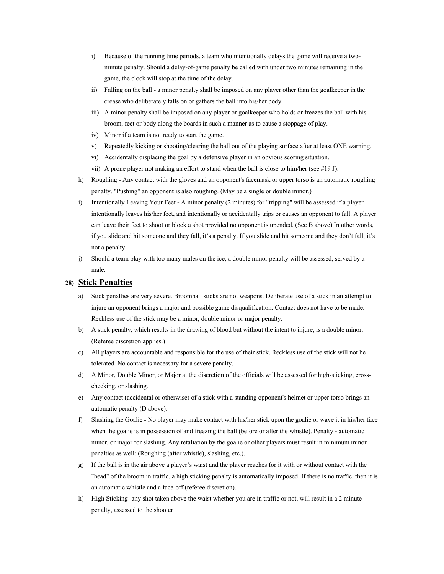- i) Because of the running time periods, a team who intentionally delays the game will receive a twominute penalty. Should a delay-of-game penalty be called with under two minutes remaining in the game, the clock will stop at the time of the delay.
- ii) Falling on the ball a minor penalty shall be imposed on any player other than the goalkeeper in the crease who deliberately falls on or gathers the ball into his/her body.
- iii) A minor penalty shall be imposed on any player or goalkeeper who holds or freezes the ball with his broom, feet or body along the boards in such a manner as to cause a stoppage of play.
- iv) Minor if a team is not ready to start the game.
- v) Repeatedly kicking or shooting/clearing the ball out of the playing surface after at least ONE warning.
- vi) Accidentally displacing the goal by a defensive player in an obvious scoring situation.
- vii) A prone player not making an effort to stand when the ball is close to him/her (see #19 J).
- h) Roughing Any contact with the gloves and an opponent's facemask or upper torso is an automatic roughing penalty. "Pushing" an opponent is also roughing. (May be a single or double minor.)
- i) Intentionally Leaving Your Feet A minor penalty (2 minutes) for "tripping" will be assessed if a player intentionally leaves his/her feet, and intentionally or accidentally trips or causes an opponent to fall. A player can leave their feet to shoot or block a shot provided no opponent is upended. (See B above) In other words, if you slide and hit someone and they fall, it's a penalty. If you slide and hit someone and they don't fall, it's not a penalty.
- j) Should a team play with too many males on the ice, a double minor penalty will be assessed, served by a male.

# **28) Stick Penalties**

- a) Stick penalties are very severe. Broomball sticks are not weapons. Deliberate use of a stick in an attempt to injure an opponent brings a major and possible game disqualification. Contact does not have to be made. Reckless use of the stick may be a minor, double minor or major penalty.
- b) A stick penalty, which results in the drawing of blood but without the intent to injure, is a double minor. (Referee discretion applies.)
- c) All players are accountable and responsible for the use of their stick. Reckless use of the stick will not be tolerated. No contact is necessary for a severe penalty.
- d) A Minor, Double Minor, or Major at the discretion of the officials will be assessed for high-sticking, crosschecking, or slashing.
- e) Any contact (accidental or otherwise) of a stick with a standing opponent's helmet or upper torso brings an automatic penalty (D above).
- f) Slashing the Goalie No player may make contact with his/her stick upon the goalie or wave it in his/her face when the goalie is in possession of and freezing the ball (before or after the whistle). Penalty - automatic minor, or major for slashing. Any retaliation by the goalie or other players must result in minimum minor penalties as well: (Roughing (after whistle), slashing, etc.).
- g) If the ball is in the air above a player's waist and the player reaches for it with or without contact with the "head" of the broom in traffic, a high sticking penalty is automatically imposed. If there is no traffic, then it is an automatic whistle and a face-off (referee discretion).
- h) High Sticking- any shot taken above the waist whether you are in traffic or not, will result in a 2 minute penalty, assessed to the shooter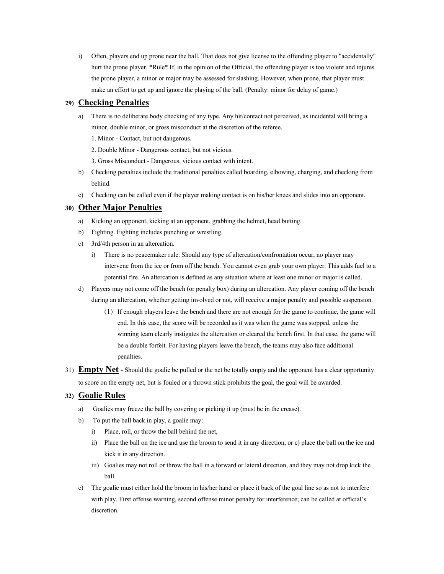i) Often, players end up prone near the ball. That does not give license to the offending player to "accidentally" hurt the prone player. \*Rule\* If, in the opinion of the Official, the offending player is too violent and injures the prone player, a minor or major may be assessed for slashing. However, when prone, that player must make an effort to get up and ignore the playing of the ball. (Penalty: minor for delay of game.)

# **29) Checking Penalties**

- a) There is no deliberate body checking of any type. Any hit/contact not perceived, as incidental will bring a minor, double minor, or gross misconduct at the discretion of the referee.
	- 1. Minor Contact, but not dangerous.
	- 2. Double Minor Dangerous contact, but not vicious.
	- 3. Gross Misconduct Dangerous, vicious contact with intent.
- b) Checking penalties include the traditional penalties called boarding, elbowing, charging, and checking from behind.
- c) Checking can be called even if the player making contact is on his/her knees and slides into an opponent.

# **30) Other Major Penalties**

- a) Kicking an opponent, kicking at an opponent, grabbing the helmet, head butting.
- b) Fighting. Fighting includes punching or wrestling.
- c) 3rd/4th person in an altercation.
	- i) There is no peacemaker rule. Should any type of altercation/confrontation occur, no player may intervene from the ice or from off the bench. You cannot even grab your own player. This adds fuel to a potential fire. An altercation is defined as any situation where at least one minor or major is called.
- d) Players may not come off the bench (or penalty box) during an altercation. Any player coming off the bench during an altercation, whether getting involved or not, will receive a major penalty and possible suspension.
	- (1) If enough players leave the bench and there are not enough for the game to continue, the game will end. In this case, the score will be recorded as it was when the game was stopped, unless the winning team clearly instigates the altercation or cleared the bench first. In that case, the game will be a double forfeit. For having players leave the bench, the teams may also face additional penalties.
- 31) **Empty Net** Should the goalie be pulled or the net be totally empty and the opponent has a clear opportunity to score on the empty net, but is fouled or a thrown stick prohibits the goal, the goal will be awarded.

# **32) Goalie Rules**

- a) Goalies may freeze the ball by covering or picking it up (must be in the crease).
- b) To put the ball back in play, a goalie may:
	- i) Place, roll, or throw the ball behind the net,
	- ii) Place the ball on the ice and use the broom to send it in any direction, or c) place the ball on the ice and kick it in any direction.
	- iii) Goalies may not roll or throw the ball in a forward or lateral direction, and they may not drop kick the ball.
- c) The goalie must either hold the broom in his/her hand or place it back of the goal line so as not to interfere with play. First offense warning, second offense minor penalty for interference; can be called at official's discretion.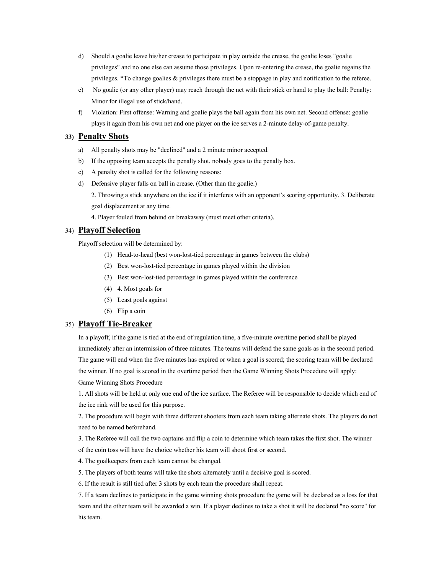- d) Should a goalie leave his/her crease to participate in play outside the crease, the goalie loses "goalie privileges" and no one else can assume those privileges. Upon re-entering the crease, the goalie regains the privileges. \*To change goalies & privileges there must be a stoppage in play and notification to the referee.
- e) No goalie (or any other player) may reach through the net with their stick or hand to play the ball: Penalty: Minor for illegal use of stick/hand.
- f) Violation: First offense: Warning and goalie plays the ball again from his own net. Second offense: goalie plays it again from his own net and one player on the ice serves a 2-minute delay-of-game penalty.

#### **33) Penalty Shots**

- a) All penalty shots may be "declined" and a 2 minute minor accepted.
- b) If the opposing team accepts the penalty shot, nobody goes to the penalty box.
- c) A penalty shot is called for the following reasons:
- d) Defensive player falls on ball in crease. (Other than the goalie.)

2. Throwing a stick anywhere on the ice if it interferes with an opponent's scoring opportunity. 3. Deliberate goal displacement at any time.

4. Player fouled from behind on breakaway (must meet other criteria).

### 34) **Playoff Selection**

Playoff selection will be determined by:

- (1) Head-to-head (best won-lost-tied percentage in games between the clubs)
- (2) Best won-lost-tied percentage in games played within the division
- (3) Best won-lost-tied percentage in games played within the conference
- (4) 4. Most goals for
- (5) Least goals against
- (6) Flip a coin

#### 35) **Playoff Tie-Breaker**

In a playoff, if the game is tied at the end of regulation time, a five-minute overtime period shall be played immediately after an intermission of three minutes. The teams will defend the same goals as in the second period. The game will end when the five minutes has expired or when a goal is scored; the scoring team will be declared the winner. If no goal is scored in the overtime period then the Game Winning Shots Procedure will apply: Game Winning Shots Procedure

1. All shots will be held at only one end of the ice surface. The Referee will be responsible to decide which end of the ice rink will be used for this purpose.

2. The procedure will begin with three different shooters from each team taking alternate shots. The players do not need to be named beforehand.

3. The Referee will call the two captains and flip a coin to determine which team takes the first shot. The winner of the coin toss will have the choice whether his team will shoot first or second.

4. The goalkeepers from each team cannot be changed.

5. The players of both teams will take the shots alternately until a decisive goal is scored.

6. If the result is still tied after 3 shots by each team the procedure shall repeat.

7. If a team declines to participate in the game winning shots procedure the game will be declared as a loss for that team and the other team will be awarded a win. If a player declines to take a shot it will be declared "no score" for his team.